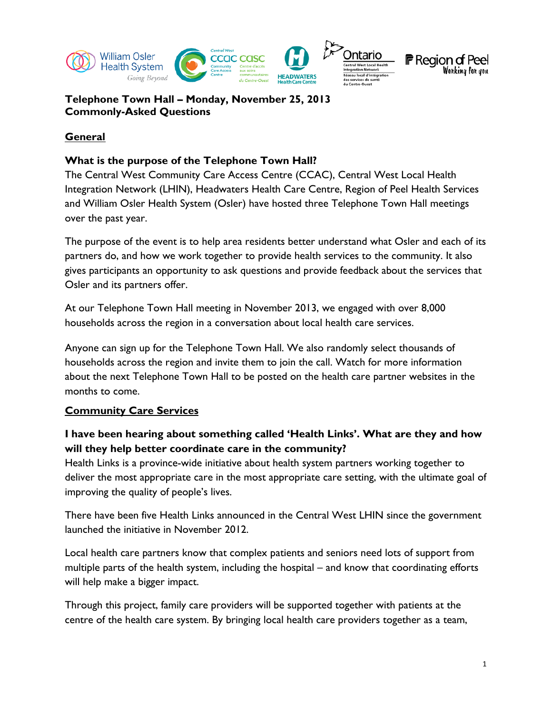



## **General**

#### **What is the purpose of the Telephone Town Hall?**

The Central West Community Care Access Centre (CCAC), Central West Local Health Integration Network (LHIN), Headwaters Health Care Centre, Region of Peel Health Services and William Osler Health System (Osler) have hosted three Telephone Town Hall meetings over the past year.

The purpose of the event is to help area residents better understand what Osler and each of its partners do, and how we work together to provide health services to the community. It also gives participants an opportunity to ask questions and provide feedback about the services that Osler and its partners offer.

At our Telephone Town Hall meeting in November 2013, we engaged with over 8,000 households across the region in a conversation about local health care services.

Anyone can sign up for the Telephone Town Hall. We also randomly select thousands of households across the region and invite them to join the call. Watch for more information about the next Telephone Town Hall to be posted on the health care partner websites in the months to come.

## **Community Care Services**

# **I have been hearing about something called 'Health Links'. What are they and how will they help better coordinate care in the community?**

Health Links is a province-wide initiative about health system partners working together to deliver the most appropriate care in the most appropriate care setting, with the ultimate goal of improving the quality of people's lives.

There have been five Health Links announced in the Central West LHIN since the government launched the initiative in November 2012.

Local health care partners know that complex patients and seniors need lots of support from multiple parts of the health system, including the hospital – and know that coordinating efforts will help make a bigger impact.

Through this project, family care providers will be supported together with patients at the centre of the health care system. By bringing local health care providers together as a team,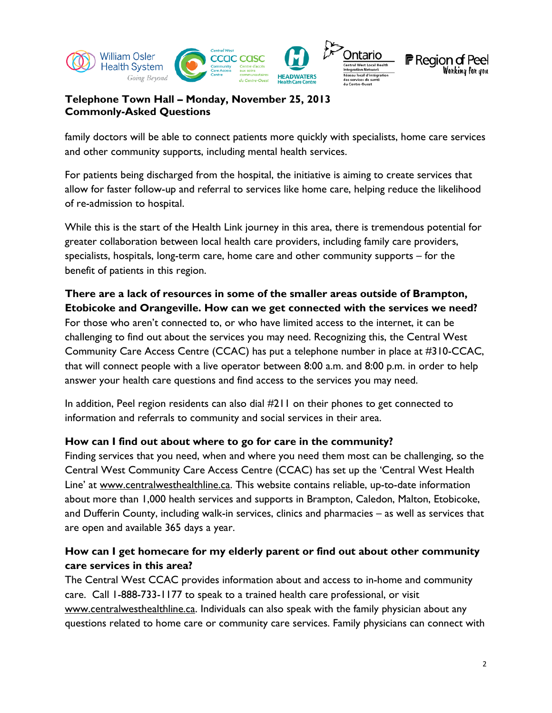

family doctors will be able to connect patients more quickly with specialists, home care services and other community supports, including mental health services.

For patients being discharged from the hospital, the initiative is aiming to create services that allow for faster follow-up and referral to services like home care, helping reduce the likelihood of re-admission to hospital.

While this is the start of the Health Link journey in this area, there is tremendous potential for greater collaboration between local health care providers, including family care providers, specialists, hospitals, long-term care, home care and other community supports – for the benefit of patients in this region.

# **There are a lack of resources in some of the smaller areas outside of Brampton, Etobicoke and Orangeville. How can we get connected with the services we need?**

For those who aren't connected to, or who have limited access to the internet, it can be challenging to find out about the services you may need. Recognizing this, the Central West Community Care Access Centre (CCAC) has put a telephone number in place at #310-CCAC, that will connect people with a live operator between 8:00 a.m. and 8:00 p.m. in order to help answer your health care questions and find access to the services you may need.

In addition, Peel region residents can also dial #211 on their phones to get connected to information and referrals to community and social services in their area.

#### **How can I find out about where to go for care in the community?**

Finding services that you need, when and where you need them most can be challenging, so the Central West Community Care Access Centre (CCAC) has set up the 'Central West Health Line' at [www.centralwesthealthline.ca.](http://www.centralwesthealthline.ca/) This website contains reliable, up-to-date information about more than 1,000 health services and supports in Brampton, Caledon, Malton, Etobicoke, and Dufferin County, including walk-in services, clinics and pharmacies – as well as services that are open and available 365 days a year.

## **How can I get homecare for my elderly parent or find out about other community care services in this area?**

The Central West CCAC provides information about and access to in-home and community care. Call 1-888-733-1177 to speak to a trained health care professional, or visit [www.centralwesthealthline.ca.](http://www.centralwesthealthline.ca/) Individuals can also speak with the family physician about any questions related to home care or community care services. Family physicians can connect with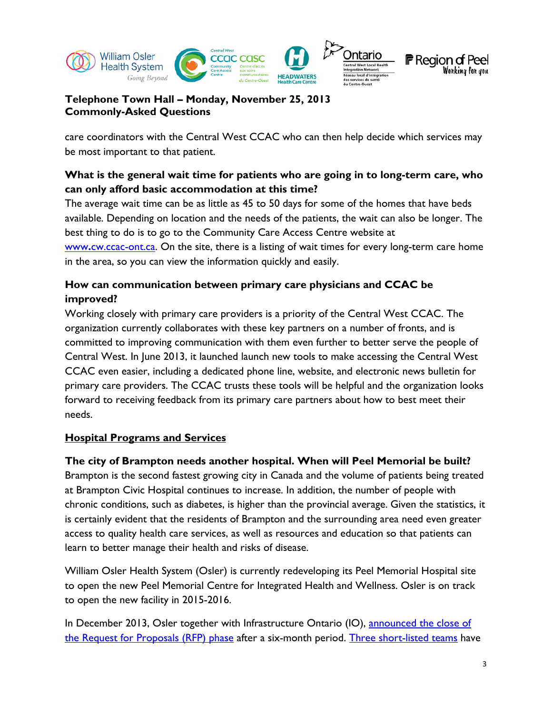

care coordinators with the Central West CCAC who can then help decide which services may be most important to that patient.

# **What is the general wait time for patients who are going in to long-term care, who can only afford basic accommodation at this time?**

The average wait time can be as little as 45 to 50 days for some of the homes that have beds available. Depending on location and the needs of the patients, the wait can also be longer. The best thing to do is to go to the Community Care Access Centre website at

www**.**[cw.ccac-ont.ca.](http://www.cw.ccac-ont.ca/) On the site, there is a listing of wait times for every long-term care home in the area, so you can view the information quickly and easily.

# **How can communication between primary care physicians and CCAC be improved?**

Working closely with primary care providers is a priority of the Central West CCAC. The organization currently collaborates with these key partners on a number of fronts, and is committed to improving communication with them even further to better serve the people of Central West. In June 2013, it launched launch new tools to make accessing the Central West CCAC even easier, including a dedicated phone line, website, and electronic news bulletin for primary care providers. The CCAC trusts these tools will be helpful and the organization looks forward to receiving feedback from its primary care partners about how to best meet their needs.

## **Hospital Programs and Services**

## **The city of Brampton needs another hospital. When will Peel Memorial be built?**

Brampton is the second fastest growing city in Canada and the volume of patients being treated at Brampton Civic Hospital continues to increase. In addition, the number of people with chronic conditions, such as diabetes, is higher than the provincial average. Given the statistics, it is certainly evident that the residents of Brampton and the surrounding area need even greater access to quality health care services, as well as resources and education so that patients can learn to better manage their health and risks of disease.

William Osler Health System (Osler) is currently redeveloping its Peel Memorial Hospital site to open the new Peel Memorial Centre for Integrated Health and Wellness. Osler is on track to open the new facility in 2015-2016.

In December 2013, Osler together with Infrastructure Ontario (IO), announced the close of [the Request for Proposals \(RFP\) phase](http://www.williamoslerhs.ca/about-osler/news-media/media-releases/important-milestone-reached-in-peel-memorial-redevelopment) after a six-month period. [Three short-listed teams](http://www.williamoslerhs.ca/about-osler/news-media/media-releases/teams-short-listed-for-peel-memorial) have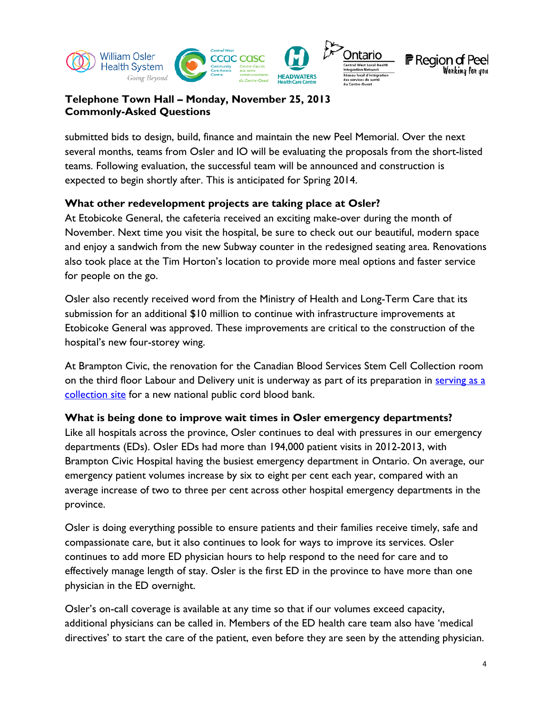

submitted bids to design, build, finance and maintain the new Peel Memorial. Over the next several months, teams from Osler and IO will be evaluating the proposals from the short-listed teams. Following evaluation, the successful team will be announced and construction is expected to begin shortly after. This is anticipated for Spring 2014.

#### **What other redevelopment projects are taking place at Osler?**

At Etobicoke General, the cafeteria received an exciting make-over during the month of November. Next time you visit the hospital, be sure to check out our beautiful, modern space and enjoy a sandwich from the new Subway counter in the redesigned seating area. Renovations also took place at the Tim Horton's location to provide more meal options and faster service for people on the go.

Osler also recently received word from the Ministry of Health and Long-Term Care that its submission for an additional \$10 million to continue with infrastructure improvements at Etobicoke General was approved. These improvements are critical to the construction of the hospital's new four-storey wing.

At Brampton Civic, the renovation for the Canadian Blood Services Stem Cell Collection room on the third floor Labour and Delivery unit is underway as part of its preparation in [serving as a](http://www.williamoslerhs.ca/about-osler/news-media/news/2013/10/08/cord-blood-bank-targets-ethnic-patients)  [collection site](http://www.williamoslerhs.ca/about-osler/news-media/news/2013/10/08/cord-blood-bank-targets-ethnic-patients) for a new national public cord blood bank.

#### **What is being done to improve wait times in Osler emergency departments?**

Like all hospitals across the province, Osler continues to deal with pressures in our emergency departments (EDs). Osler EDs had more than 194,000 patient visits in 2012-2013, with Brampton Civic Hospital having the busiest emergency department in Ontario. On average, our emergency patient volumes increase by six to eight per cent each year, compared with an average increase of two to three per cent across other hospital emergency departments in the province.

Osler is doing everything possible to ensure patients and their families receive timely, safe and compassionate care, but it also continues to look for ways to improve its services. Osler continues to add more ED physician hours to help respond to the need for care and to effectively manage length of stay. Osler is the first ED in the province to have more than one physician in the ED overnight.

Osler's on-call coverage is available at any time so that if our volumes exceed capacity, additional physicians can be called in. Members of the ED health care team also have 'medical directives' to start the care of the patient, even before they are seen by the attending physician.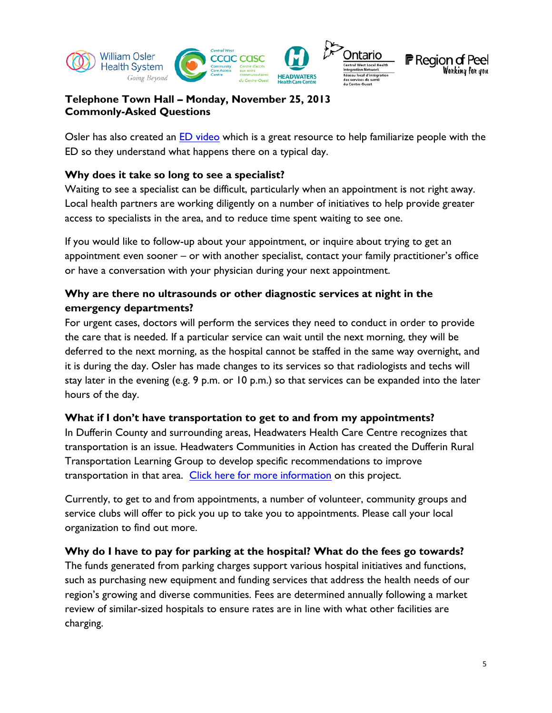

Osler has also created an [ED video](http://www.williamoslerhc.on.ca/body.cfm?id=121) which is a great resource to help familiarize people with the ED so they understand what happens there on a typical day.

#### **Why does it take so long to see a specialist?**

Waiting to see a specialist can be difficult, particularly when an appointment is not right away. Local health partners are working diligently on a number of initiatives to help provide greater access to specialists in the area, and to reduce time spent waiting to see one.

If you would like to follow-up about your appointment, or inquire about trying to get an appointment even sooner – or with another specialist, contact your family practitioner's office or have a conversation with your physician during your next appointment.

## **Why are there no ultrasounds or other diagnostic services at night in the emergency departments?**

For urgent cases, doctors will perform the services they need to conduct in order to provide the care that is needed. If a particular service can wait until the next morning, they will be deferred to the next morning, as the hospital cannot be staffed in the same way overnight, and it is during the day. Osler has made changes to its services so that radiologists and techs will stay later in the evening (e.g. 9 p.m. or 10 p.m.) so that services can be expanded into the later hours of the day.

#### **What if I don't have transportation to get to and from my appointments?**

In Dufferin County and surrounding areas, Headwaters Health Care Centre recognizes that transportation is an issue. Headwaters Communities in Action has created the Dufferin Rural Transportation Learning Group to develop specific recommendations to improve transportation in that area. [Click here for more information](http://headwaterscommunities.org/2013/03/projects/rural-transportation/understanding-rural-transportation-needs-options-for-dufferin/) on this project.

Currently, to get to and from appointments, a number of volunteer, community groups and service clubs will offer to pick you up to take you to appointments. Please call your local organization to find out more.

#### **Why do I have to pay for parking at the hospital? What do the fees go towards?**

The funds generated from parking charges support various hospital initiatives and functions, such as purchasing new equipment and funding services that address the health needs of our region's growing and diverse communities. Fees are determined annually following a market review of similar-sized hospitals to ensure rates are in line with what other facilities are charging.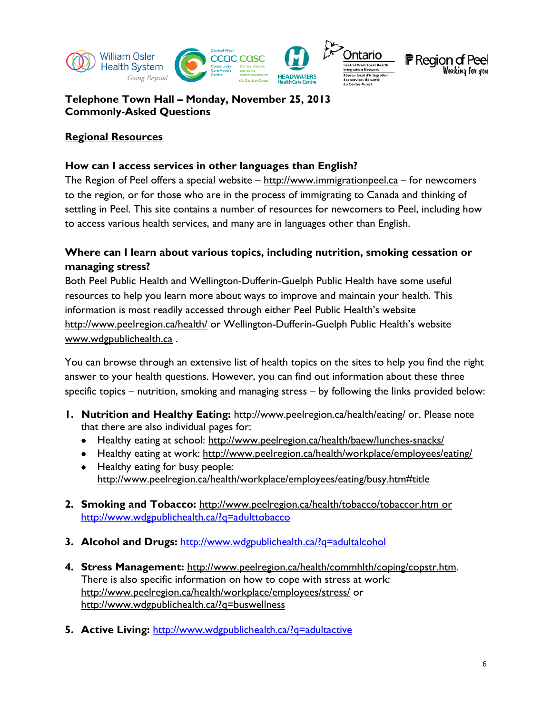

**F** Region of Peel Wonking fon you

**Telephone Town Hall – Monday, November 25, 2013 Commonly-Asked Questions**

#### **Regional Resources**

#### **How can I access services in other languages than English?**

The Region of Peel offers a special website  $-\frac{http://www.immigrationpeel.ca - for newcomes$  $-\frac{http://www.immigrationpeel.ca - for newcomes$  $-\frac{http://www.immigrationpeel.ca - for newcomes$ to the region, or for those who are in the process of immigrating to Canada and thinking of settling in Peel. This site contains a number of resources for newcomers to Peel, including how to access various health services, and many are in languages other than English.

## **Where can I learn about various topics, including nutrition, smoking cessation or managing stress?**

Both Peel Public Health and Wellington-Dufferin-Guelph Public Health have some useful resources to help you learn more about ways to improve and maintain your health. This information is most readily accessed through either Peel Public Health's website <http://www.peelregion.ca/health/> or Wellington-Dufferin-Guelph Public Health's website [www.wdgpublichealth.ca](http://www.wdgpublichealth.ca/) .

You can browse through an extensive list of health topics on the sites to help you find the right answer to your health questions. However, you can find out information about these three specific topics – nutrition, smoking and managing stress – by following the links provided below:

- **1. Nutrition and Healthy Eating:** <http://www.peelregion.ca/health/eating/> or. Please note that there are also individual pages for:
	- Healthy eating at school:<http://www.peelregion.ca/health/baew/lunches-snacks/>
	- Healthy eating at work:<http://www.peelregion.ca/health/workplace/employees/eating/>
	- Healthy eating for busy people: [http://www.peelregion.ca/health/workplace/employees/eating/busy.htm#title](http://www.peelregion.ca/health/workplace/employees/eating/busy.htm%23title)
- **2. Smoking and Tobacco:** <http://www.peelregion.ca/health/tobacco/tobaccor.htm> or <http://www.wdgpublichealth.ca/?q=adulttobacco>
- **3. Alcohol and Drugs:** <http://www.wdgpublichealth.ca/?q=adultalcohol>
- **4. Stress Management:** [http://www.peelregion.ca/health/commhlth/coping/copstr.htm.](http://www.peelregion.ca/health/commhlth/coping/copstr.htm)  There is also specific information on how to cope with stress at work: <http://www.peelregion.ca/health/workplace/employees/stress/> or <http://www.wdgpublichealth.ca/?q=buswellness>
- **5. Active Living:** <http://www.wdgpublichealth.ca/?q=adultactive>